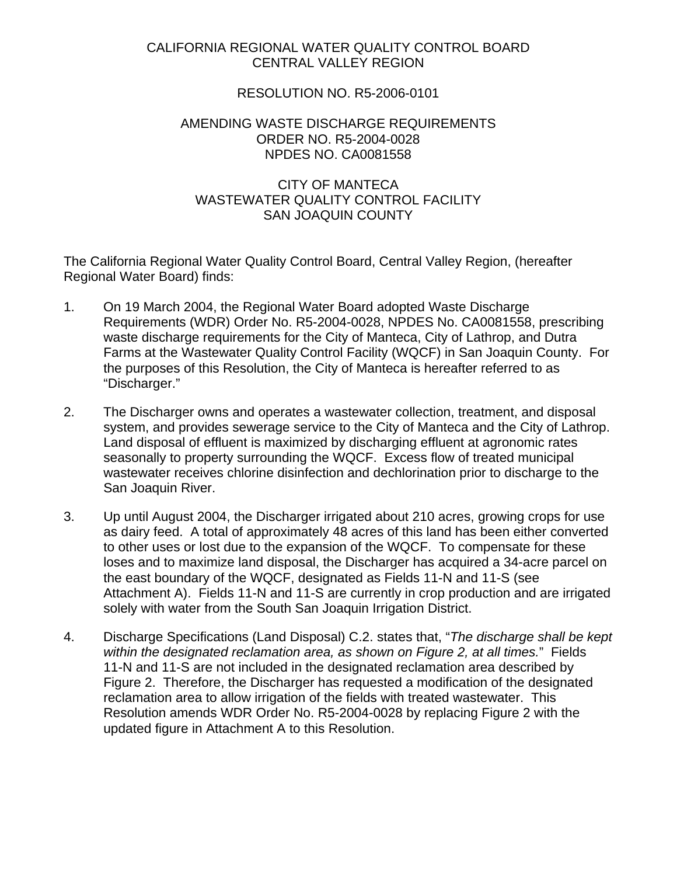## CALIFORNIA REGIONAL WATER QUALITY CONTROL BOARD CENTRAL VALLEY REGION

## RESOLUTION NO. R5-2006-0101

## AMENDING WASTE DISCHARGE REQUIREMENTS ORDER NO. R5-2004-0028 NPDES NO. CA0081558

## CITY OF MANTECA WASTEWATER QUALITY CONTROL FACILITY SAN JOAQUIN COUNTY

The California Regional Water Quality Control Board, Central Valley Region, (hereafter Regional Water Board) finds:

- 1. On 19 March 2004, the Regional Water Board adopted Waste Discharge Requirements (WDR) Order No. R5-2004-0028, NPDES No. CA0081558, prescribing waste discharge requirements for the City of Manteca, City of Lathrop, and Dutra Farms at the Wastewater Quality Control Facility (WQCF) in San Joaquin County. For the purposes of this Resolution, the City of Manteca is hereafter referred to as "Discharger."
- 2. The Discharger owns and operates a wastewater collection, treatment, and disposal system, and provides sewerage service to the City of Manteca and the City of Lathrop. Land disposal of effluent is maximized by discharging effluent at agronomic rates seasonally to property surrounding the WQCF. Excess flow of treated municipal wastewater receives chlorine disinfection and dechlorination prior to discharge to the San Joaquin River.
- 3. Up until August 2004, the Discharger irrigated about 210 acres, growing crops for use as dairy feed. A total of approximately 48 acres of this land has been either converted to other uses or lost due to the expansion of the WQCF. To compensate for these loses and to maximize land disposal, the Discharger has acquired a 34-acre parcel on the east boundary of the WQCF, designated as Fields 11-N and 11-S (see Attachment A). Fields 11-N and 11-S are currently in crop production and are irrigated solely with water from the South San Joaquin Irrigation District.
- 4. Discharge Specifications (Land Disposal) C.2. states that, "*The discharge shall be kept within the designated reclamation area, as shown on Figure 2, at all times.*" Fields 11-N and 11-S are not included in the designated reclamation area described by Figure 2. Therefore, the Discharger has requested a modification of the designated reclamation area to allow irrigation of the fields with treated wastewater. This Resolution amends WDR Order No. R5-2004-0028 by replacing Figure 2 with the updated figure in Attachment A to this Resolution.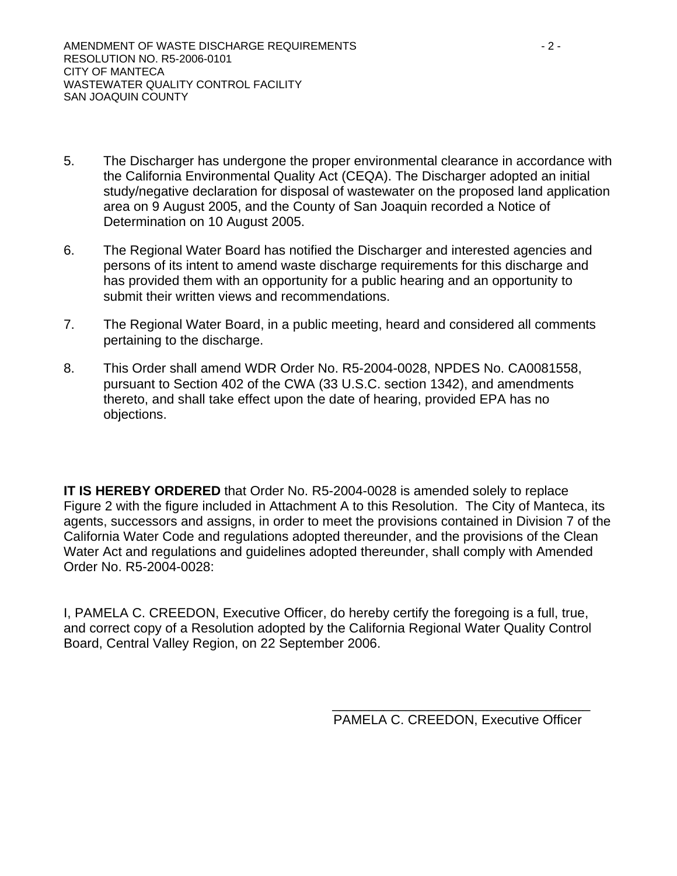- 5. The Discharger has undergone the proper environmental clearance in accordance with the California Environmental Quality Act (CEQA). The Discharger adopted an initial study/negative declaration for disposal of wastewater on the proposed land application area on 9 August 2005, and the County of San Joaquin recorded a Notice of Determination on 10 August 2005.
- 6. The Regional Water Board has notified the Discharger and interested agencies and persons of its intent to amend waste discharge requirements for this discharge and has provided them with an opportunity for a public hearing and an opportunity to submit their written views and recommendations.
- 7. The Regional Water Board, in a public meeting, heard and considered all comments pertaining to the discharge.
- 8. This Order shall amend WDR Order No. R5-2004-0028, NPDES No. CA0081558, pursuant to Section 402 of the CWA (33 U.S.C. section 1342), and amendments thereto, and shall take effect upon the date of hearing, provided EPA has no objections.

**IT IS HEREBY ORDERED** that Order No. R5-2004-0028 is amended solely to replace Figure 2 with the figure included in Attachment A to this Resolution. The City of Manteca, its agents, successors and assigns, in order to meet the provisions contained in Division 7 of the California Water Code and regulations adopted thereunder, and the provisions of the Clean Water Act and regulations and guidelines adopted thereunder, shall comply with Amended Order No. R5-2004-0028:

I, PAMELA C. CREEDON, Executive Officer, do hereby certify the foregoing is a full, true, and correct copy of a Resolution adopted by the California Regional Water Quality Control Board, Central Valley Region, on 22 September 2006.

> \_\_\_\_\_\_\_\_\_\_\_\_\_\_\_\_\_\_\_\_\_\_\_\_\_\_\_\_\_\_\_\_\_\_\_ PAMELA C. CREEDON, Executive Officer